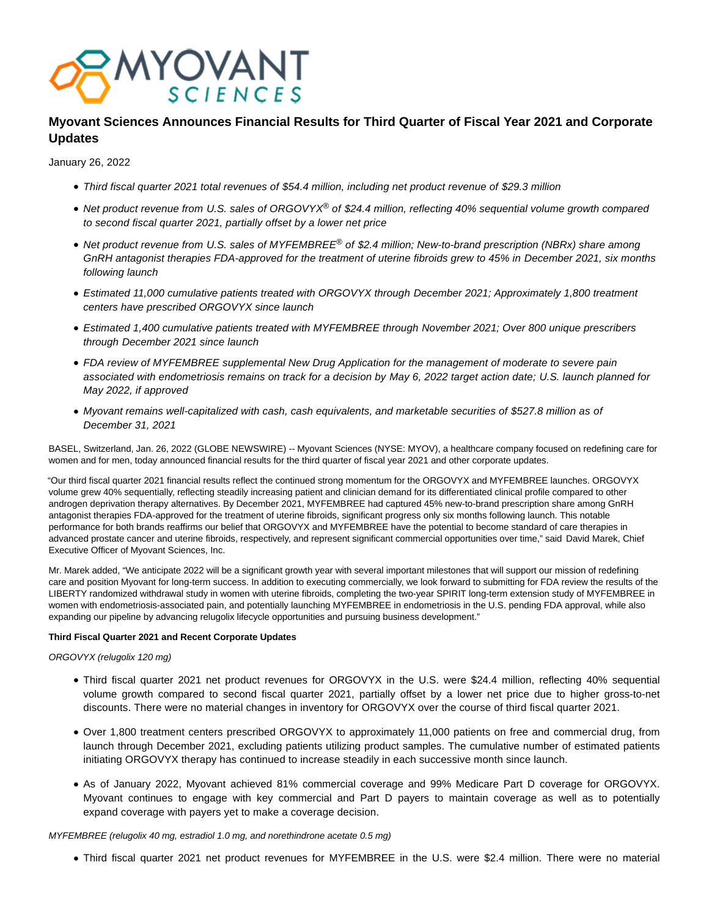

# **Myovant Sciences Announces Financial Results for Third Quarter of Fiscal Year 2021 and Corporate Updates**

January 26, 2022

- Third fiscal quarter 2021 total revenues of \$54.4 million, including net product revenue of \$29.3 million
- Net product revenue from U.S. sales of ORGOVYX® of \$24.4 million, reflecting 40% sequential volume growth compared to second fiscal quarter 2021, partially offset by a lower net price
- Net product revenue from U.S. sales of MYFEMBREE<sup>®</sup> of \$2.4 million; New-to-brand prescription (NBRx) share among GnRH antagonist therapies FDA-approved for the treatment of uterine fibroids grew to 45% in December 2021, six months following launch
- Estimated 11,000 cumulative patients treated with ORGOVYX through December 2021; Approximately 1,800 treatment centers have prescribed ORGOVYX since launch
- Estimated 1,400 cumulative patients treated with MYFEMBREE through November 2021; Over 800 unique prescribers through December 2021 since launch
- FDA review of MYFEMBREE supplemental New Drug Application for the management of moderate to severe pain associated with endometriosis remains on track for a decision by May 6, 2022 target action date; U.S. launch planned for May 2022, if approved
- Myovant remains well-capitalized with cash, cash equivalents, and marketable securities of \$527.8 million as of December 31, 2021

BASEL, Switzerland, Jan. 26, 2022 (GLOBE NEWSWIRE) -- Myovant Sciences (NYSE: MYOV), a healthcare company focused on redefining care for women and for men, today announced financial results for the third quarter of fiscal year 2021 and other corporate updates.

"Our third fiscal quarter 2021 financial results reflect the continued strong momentum for the ORGOVYX and MYFEMBREE launches. ORGOVYX volume grew 40% sequentially, reflecting steadily increasing patient and clinician demand for its differentiated clinical profile compared to other androgen deprivation therapy alternatives. By December 2021, MYFEMBREE had captured 45% new-to-brand prescription share among GnRH antagonist therapies FDA-approved for the treatment of uterine fibroids, significant progress only six months following launch. This notable performance for both brands reaffirms our belief that ORGOVYX and MYFEMBREE have the potential to become standard of care therapies in advanced prostate cancer and uterine fibroids, respectively, and represent significant commercial opportunities over time," said David Marek, Chief Executive Officer of Myovant Sciences, Inc.

Mr. Marek added, "We anticipate 2022 will be a significant growth year with several important milestones that will support our mission of redefining care and position Myovant for long-term success. In addition to executing commercially, we look forward to submitting for FDA review the results of the LIBERTY randomized withdrawal study in women with uterine fibroids, completing the two-year SPIRIT long-term extension study of MYFEMBREE in women with endometriosis-associated pain, and potentially launching MYFEMBREE in endometriosis in the U.S. pending FDA approval, while also expanding our pipeline by advancing relugolix lifecycle opportunities and pursuing business development."

### **Third Fiscal Quarter 2021 and Recent Corporate Updates**

## ORGOVYX (relugolix 120 mg)

- Third fiscal quarter 2021 net product revenues for ORGOVYX in the U.S. were \$24.4 million, reflecting 40% sequential volume growth compared to second fiscal quarter 2021, partially offset by a lower net price due to higher gross-to-net discounts. There were no material changes in inventory for ORGOVYX over the course of third fiscal quarter 2021.
- Over 1,800 treatment centers prescribed ORGOVYX to approximately 11,000 patients on free and commercial drug, from launch through December 2021, excluding patients utilizing product samples. The cumulative number of estimated patients initiating ORGOVYX therapy has continued to increase steadily in each successive month since launch.
- As of January 2022, Myovant achieved 81% commercial coverage and 99% Medicare Part D coverage for ORGOVYX. Myovant continues to engage with key commercial and Part D payers to maintain coverage as well as to potentially expand coverage with payers yet to make a coverage decision.

MYFEMBREE (relugolix 40 mg, estradiol 1.0 mg, and norethindrone acetate 0.5 mg)

Third fiscal quarter 2021 net product revenues for MYFEMBREE in the U.S. were \$2.4 million. There were no material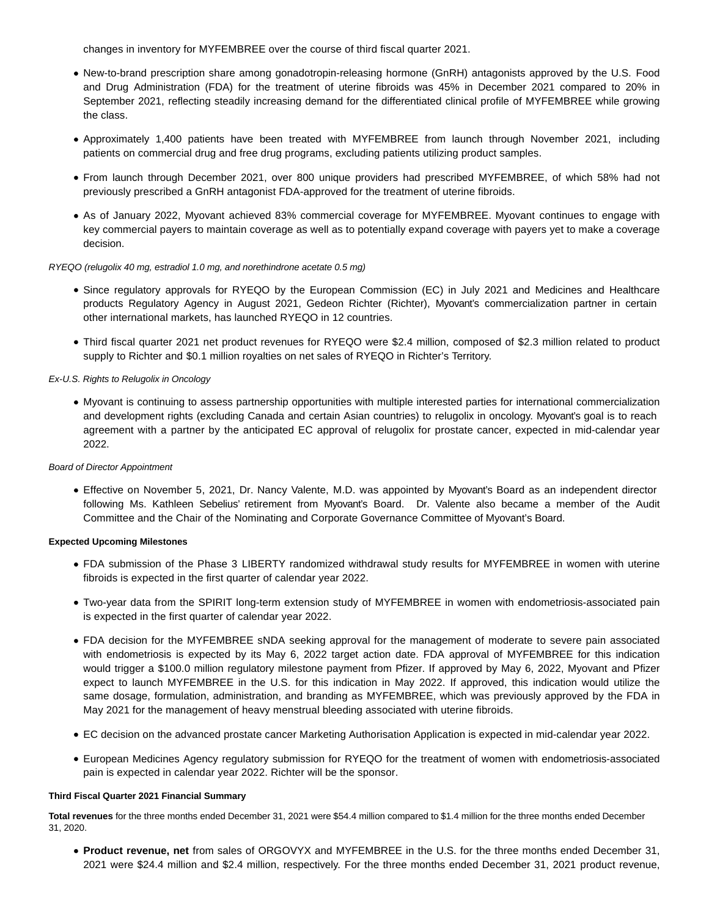changes in inventory for MYFEMBREE over the course of third fiscal quarter 2021.

- New-to-brand prescription share among gonadotropin-releasing hormone (GnRH) antagonists approved by the U.S. Food and Drug Administration (FDA) for the treatment of uterine fibroids was 45% in December 2021 compared to 20% in September 2021, reflecting steadily increasing demand for the differentiated clinical profile of MYFEMBREE while growing the class.
- Approximately 1,400 patients have been treated with MYFEMBREE from launch through November 2021, including patients on commercial drug and free drug programs, excluding patients utilizing product samples.
- From launch through December 2021, over 800 unique providers had prescribed MYFEMBREE, of which 58% had not previously prescribed a GnRH antagonist FDA-approved for the treatment of uterine fibroids.
- As of January 2022, Myovant achieved 83% commercial coverage for MYFEMBREE. Myovant continues to engage with key commercial payers to maintain coverage as well as to potentially expand coverage with payers yet to make a coverage decision.

#### RYEQO (relugolix 40 mg, estradiol 1.0 mg, and norethindrone acetate 0.5 mg)

- Since regulatory approvals for RYEQO by the European Commission (EC) in July 2021 and Medicines and Healthcare products Regulatory Agency in August 2021, Gedeon Richter (Richter), Myovant's commercialization partner in certain other international markets, has launched RYEQO in 12 countries.
- Third fiscal quarter 2021 net product revenues for RYEQO were \$2.4 million, composed of \$2.3 million related to product supply to Richter and \$0.1 million royalties on net sales of RYEQO in Richter's Territory.

### Ex-U.S. Rights to Relugolix in Oncology

Myovant is continuing to assess partnership opportunities with multiple interested parties for international commercialization and development rights (excluding Canada and certain Asian countries) to relugolix in oncology. Myovant's goal is to reach agreement with a partner by the anticipated EC approval of relugolix for prostate cancer, expected in mid-calendar year 2022.

#### Board of Director Appointment

Effective on November 5, 2021, Dr. Nancy Valente, M.D. was appointed by Myovant's Board as an independent director following Ms. Kathleen Sebelius' retirement from Myovant's Board. Dr. Valente also became a member of the Audit Committee and the Chair of the Nominating and Corporate Governance Committee of Myovant's Board.

#### **Expected Upcoming Milestones**

- FDA submission of the Phase 3 LIBERTY randomized withdrawal study results for MYFEMBREE in women with uterine fibroids is expected in the first quarter of calendar year 2022.
- Two-year data from the SPIRIT long-term extension study of MYFEMBREE in women with endometriosis-associated pain is expected in the first quarter of calendar year 2022.
- FDA decision for the MYFEMBREE sNDA seeking approval for the management of moderate to severe pain associated with endometriosis is expected by its May 6, 2022 target action date. FDA approval of MYFEMBREE for this indication would trigger a \$100.0 million regulatory milestone payment from Pfizer. If approved by May 6, 2022, Myovant and Pfizer expect to launch MYFEMBREE in the U.S. for this indication in May 2022. If approved, this indication would utilize the same dosage, formulation, administration, and branding as MYFEMBREE, which was previously approved by the FDA in May 2021 for the management of heavy menstrual bleeding associated with uterine fibroids.
- EC decision on the advanced prostate cancer Marketing Authorisation Application is expected in mid-calendar year 2022.
- European Medicines Agency regulatory submission for RYEQO for the treatment of women with endometriosis-associated pain is expected in calendar year 2022. Richter will be the sponsor.

# **Third Fiscal Quarter 2021 Financial Summary**

**Total revenues** for the three months ended December 31, 2021 were \$54.4 million compared to \$1.4 million for the three months ended December 31, 2020.

**Product revenue, net** from sales of ORGOVYX and MYFEMBREE in the U.S. for the three months ended December 31, 2021 were \$24.4 million and \$2.4 million, respectively. For the three months ended December 31, 2021 product revenue,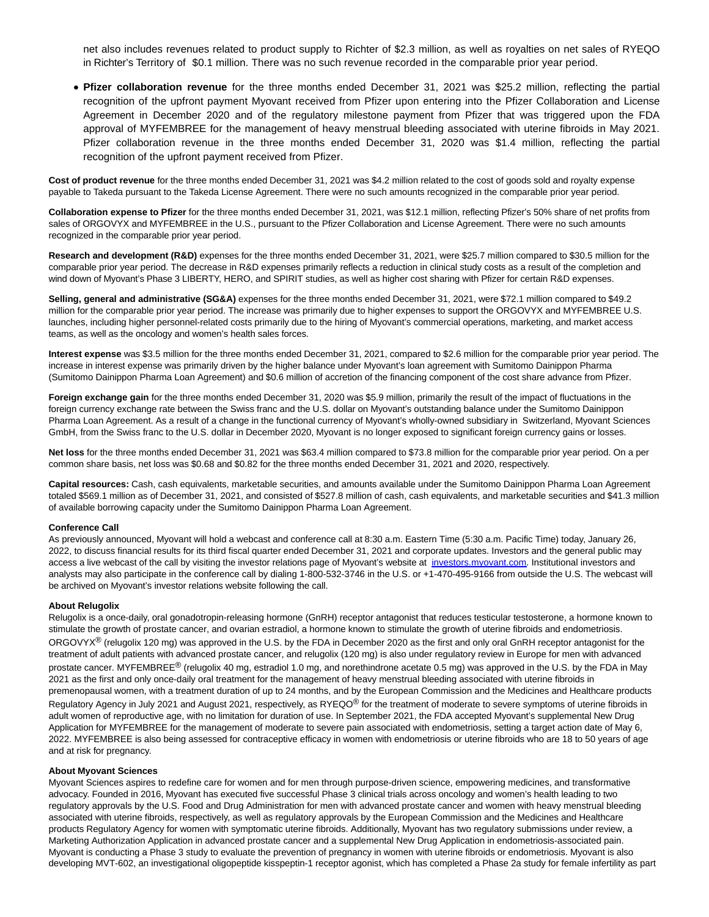net also includes revenues related to product supply to Richter of \$2.3 million, as well as royalties on net sales of RYEQO in Richter's Territory of \$0.1 million. There was no such revenue recorded in the comparable prior year period.

**Pfizer collaboration revenue** for the three months ended December 31, 2021 was \$25.2 million, reflecting the partial recognition of the upfront payment Myovant received from Pfizer upon entering into the Pfizer Collaboration and License Agreement in December 2020 and of the regulatory milestone payment from Pfizer that was triggered upon the FDA approval of MYFEMBREE for the management of heavy menstrual bleeding associated with uterine fibroids in May 2021. Pfizer collaboration revenue in the three months ended December 31, 2020 was \$1.4 million, reflecting the partial recognition of the upfront payment received from Pfizer.

**Cost of product revenue** for the three months ended December 31, 2021 was \$4.2 million related to the cost of goods sold and royalty expense payable to Takeda pursuant to the Takeda License Agreement. There were no such amounts recognized in the comparable prior year period.

**Collaboration expense to Pfizer** for the three months ended December 31, 2021, was \$12.1 million, reflecting Pfizer's 50% share of net profits from sales of ORGOVYX and MYFEMBREE in the U.S., pursuant to the Pfizer Collaboration and License Agreement. There were no such amounts recognized in the comparable prior year period.

**Research and development (R&D)** expenses for the three months ended December 31, 2021, were \$25.7 million compared to \$30.5 million for the comparable prior year period. The decrease in R&D expenses primarily reflects a reduction in clinical study costs as a result of the completion and wind down of Myovant's Phase 3 LIBERTY, HERO, and SPIRIT studies, as well as higher cost sharing with Pfizer for certain R&D expenses.

**Selling, general and administrative (SG&A)** expenses for the three months ended December 31, 2021, were \$72.1 million compared to \$49.2 million for the comparable prior year period. The increase was primarily due to higher expenses to support the ORGOVYX and MYFEMBREE U.S. launches, including higher personnel-related costs primarily due to the hiring of Myovant's commercial operations, marketing, and market access teams, as well as the oncology and women's health sales forces.

**Interest expense** was \$3.5 million for the three months ended December 31, 2021, compared to \$2.6 million for the comparable prior year period. The increase in interest expense was primarily driven by the higher balance under Myovant's loan agreement with Sumitomo Dainippon Pharma (Sumitomo Dainippon Pharma Loan Agreement) and \$0.6 million of accretion of the financing component of the cost share advance from Pfizer.

**Foreign exchange gain** for the three months ended December 31, 2020 was \$5.9 million, primarily the result of the impact of fluctuations in the foreign currency exchange rate between the Swiss franc and the U.S. dollar on Myovant's outstanding balance under the Sumitomo Dainippon Pharma Loan Agreement. As a result of a change in the functional currency of Myovant's wholly-owned subsidiary in Switzerland, Myovant Sciences GmbH, from the Swiss franc to the U.S. dollar in December 2020, Myovant is no longer exposed to significant foreign currency gains or losses.

**Net loss** for the three months ended December 31, 2021 was \$63.4 million compared to \$73.8 million for the comparable prior year period. On a per common share basis, net loss was \$0.68 and \$0.82 for the three months ended December 31, 2021 and 2020, respectively.

**Capital resources:** Cash, cash equivalents, marketable securities, and amounts available under the Sumitomo Dainippon Pharma Loan Agreement totaled \$569.1 million as of December 31, 2021, and consisted of \$527.8 million of cash, cash equivalents, and marketable securities and \$41.3 million of available borrowing capacity under the Sumitomo Dainippon Pharma Loan Agreement.

#### **Conference Call**

As previously announced, Myovant will hold a webcast and conference call at 8:30 a.m. Eastern Time (5:30 a.m. Pacific Time) today, January 26, 2022, to discuss financial results for its third fiscal quarter ended December 31, 2021 and corporate updates. Investors and the general public may access a live webcast of the call by visiting the investor relations page of Myovant's website at [investors.myovant.com.](https://www.globenewswire.com/Tracker?data=ajbTIp8JqEhaFbonDeleS1iUyh7nDlu27fMdVZH8cWxF5JrRTMK9DEoOlzUydlZXyjoxjFYx41J4M2uIRFV_CQLXoTBznu_cpyEf-jJpGiY=) Institutional investors and analysts may also participate in the conference call by dialing 1-800-532-3746 in the U.S. or +1-470-495-9166 from outside the U.S. The webcast will be archived on Myovant's investor relations website following the call.

#### **About Relugolix**

Relugolix is a once-daily, oral gonadotropin-releasing hormone (GnRH) receptor antagonist that reduces testicular testosterone, a hormone known to stimulate the growth of prostate cancer, and ovarian estradiol, a hormone known to stimulate the growth of uterine fibroids and endometriosis. ORGOVYX<sup>®</sup> (relugolix 120 mg) was approved in the U.S. by the FDA in December 2020 as the first and only oral GnRH receptor antagonist for the treatment of adult patients with advanced prostate cancer, and relugolix (120 mg) is also under regulatory review in Europe for men with advanced prostate cancer. MYFEMBREE® (relugolix 40 mg, estradiol 1.0 mg, and norethindrone acetate 0.5 mg) was approved in the U.S. by the FDA in May 2021 as the first and only once-daily oral treatment for the management of heavy menstrual bleeding associated with uterine fibroids in premenopausal women, with a treatment duration of up to 24 months, and by the European Commission and the Medicines and Healthcare products Regulatory Agency in July 2021 and August 2021, respectively, as RYEQO® for the treatment of moderate to severe symptoms of uterine fibroids in adult women of reproductive age, with no limitation for duration of use. In September 2021, the FDA accepted Myovant's supplemental New Drug Application for MYFEMBREE for the management of moderate to severe pain associated with endometriosis, setting a target action date of May 6, 2022. MYFEMBREE is also being assessed for contraceptive efficacy in women with endometriosis or uterine fibroids who are 18 to 50 years of age and at risk for pregnancy.

#### **About Myovant Sciences**

Myovant Sciences aspires to redefine care for women and for men through purpose-driven science, empowering medicines, and transformative advocacy. Founded in 2016, Myovant has executed five successful Phase 3 clinical trials across oncology and women's health leading to two regulatory approvals by the U.S. Food and Drug Administration for men with advanced prostate cancer and women with heavy menstrual bleeding associated with uterine fibroids, respectively, as well as regulatory approvals by the European Commission and the Medicines and Healthcare products Regulatory Agency for women with symptomatic uterine fibroids. Additionally, Myovant has two regulatory submissions under review, a Marketing Authorization Application in advanced prostate cancer and a supplemental New Drug Application in endometriosis-associated pain. Myovant is conducting a Phase 3 study to evaluate the prevention of pregnancy in women with uterine fibroids or endometriosis. Myovant is also developing MVT-602, an investigational oligopeptide kisspeptin-1 receptor agonist, which has completed a Phase 2a study for female infertility as part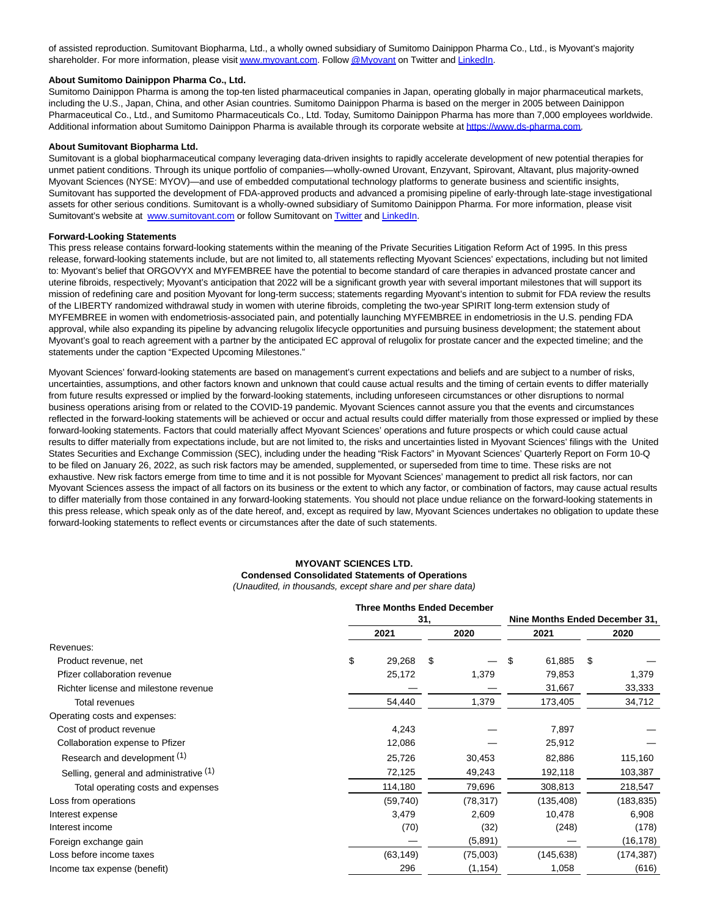of assisted reproduction. Sumitovant Biopharma, Ltd., a wholly owned subsidiary of Sumitomo Dainippon Pharma Co., Ltd., is Myovant's majority shareholder. For more information, please visi[t www.myovant.com.](https://www.globenewswire.com/Tracker?data=s_kn0-ogBHQ98x_ewrTJMSuGbVM_77wced9jzmvmeGzr13XPpxcV7PRwBdYRa5zEb2Xi3XYsYSSMbJZXXSkTmQ==) Follo[w @Myovant o](https://www.globenewswire.com/Tracker?data=rVLVp2gI1nc3UytjMNlDKJJ1lB_DhWiWM0yQPRxdzk_r4699mu4VLKZwuB-1WCZeetw9eBSf4KabzVyuSytgOw==)n Twitter and [LinkedIn.](https://www.globenewswire.com/Tracker?data=r4KpEcSFPRmyaDk8TG7itKDFS43NipJ5pGNRtQwO3GxKnqmpxa49oo6YBcuykOnKlVZT_witwdlIb4lMb2pu8hOtDCFCTBgjmTBsKO4kSqCLyIvFsgVmC5xve82AS7y_)

#### **About Sumitomo Dainippon Pharma Co., Ltd.**

Sumitomo Dainippon Pharma is among the top-ten listed pharmaceutical companies in Japan, operating globally in major pharmaceutical markets, including the U.S., Japan, China, and other Asian countries. Sumitomo Dainippon Pharma is based on the merger in 2005 between Dainippon Pharmaceutical Co., Ltd., and Sumitomo Pharmaceuticals Co., Ltd. Today, Sumitomo Dainippon Pharma has more than 7,000 employees worldwide. Additional information about Sumitomo Dainippon Pharma is available through its corporate website at https://www.ds-pharma.com.

#### **About Sumitovant Biopharma Ltd.**

Sumitovant is a global biopharmaceutical company leveraging data-driven insights to rapidly accelerate development of new potential therapies for unmet patient conditions. Through its unique portfolio of companies—wholly-owned Urovant, Enzyvant, Spirovant, Altavant, plus majority-owned Myovant Sciences (NYSE: MYOV)—and use of embedded computational technology platforms to generate business and scientific insights, Sumitovant has supported the development of FDA-approved products and advanced a promising pipeline of early-through late-stage investigational assets for other serious conditions. Sumitovant is a wholly-owned subsidiary of Sumitomo Dainippon Pharma. For more information, please visit Sumitovant's website at [www.sumitovant.com o](https://www.globenewswire.com/Tracker?data=tshZ8fOLLLQFshVCRDP91602rvZ4ZZcQJHcloPpJxKj41U-oFhT_C_ESvUqLDaKZCTnG3y_cY7y-Kouz9c60Mwf-yO98eTAv9JatHXf7jgE=)r follow Sumitovant o[n Twitter a](https://www.globenewswire.com/Tracker?data=Sf0REgyRrInfswWkIeYEfnEUejlUvrFiPpxvnBfcTNGDXV01gmqzx8m3DZvkex27_hkTsAC5x1eVQ1GntXgVTQ==)n[d LinkedIn.](https://www.globenewswire.com/Tracker?data=r4KpEcSFPRmyaDk8TG7itJXcdXlYDY2ULrHpLGfSdFUPPUY-pOnaYLGhtr3go7QM0QI7BP6T_lbBQ1LlXFdQQvTYYlOUl9OqGG3C_j0CjPo=)

#### **Forward-Looking Statements**

This press release contains forward-looking statements within the meaning of the Private Securities Litigation Reform Act of 1995. In this press release, forward-looking statements include, but are not limited to, all statements reflecting Myovant Sciences' expectations, including but not limited to: Myovant's belief that ORGOVYX and MYFEMBREE have the potential to become standard of care therapies in advanced prostate cancer and uterine fibroids, respectively; Myovant's anticipation that 2022 will be a significant growth year with several important milestones that will support its mission of redefining care and position Myovant for long-term success; statements regarding Myovant's intention to submit for FDA review the results of the LIBERTY randomized withdrawal study in women with uterine fibroids, completing the two-year SPIRIT long-term extension study of MYFEMBREE in women with endometriosis-associated pain, and potentially launching MYFEMBREE in endometriosis in the U.S. pending FDA approval, while also expanding its pipeline by advancing relugolix lifecycle opportunities and pursuing business development; the statement about Myovant's goal to reach agreement with a partner by the anticipated EC approval of relugolix for prostate cancer and the expected timeline; and the statements under the caption "Expected Upcoming Milestones."

Myovant Sciences' forward-looking statements are based on management's current expectations and beliefs and are subject to a number of risks, uncertainties, assumptions, and other factors known and unknown that could cause actual results and the timing of certain events to differ materially from future results expressed or implied by the forward-looking statements, including unforeseen circumstances or other disruptions to normal business operations arising from or related to the COVID-19 pandemic. Myovant Sciences cannot assure you that the events and circumstances reflected in the forward-looking statements will be achieved or occur and actual results could differ materially from those expressed or implied by these forward-looking statements. Factors that could materially affect Myovant Sciences' operations and future prospects or which could cause actual results to differ materially from expectations include, but are not limited to, the risks and uncertainties listed in Myovant Sciences' filings with the United States Securities and Exchange Commission (SEC), including under the heading "Risk Factors" in Myovant Sciences' Quarterly Report on Form 10-Q to be filed on January 26, 2022, as such risk factors may be amended, supplemented, or superseded from time to time. These risks are not exhaustive. New risk factors emerge from time to time and it is not possible for Myovant Sciences' management to predict all risk factors, nor can Myovant Sciences assess the impact of all factors on its business or the extent to which any factor, or combination of factors, may cause actual results to differ materially from those contained in any forward-looking statements. You should not place undue reliance on the forward-looking statements in this press release, which speak only as of the date hereof, and, except as required by law, Myovant Sciences undertakes no obligation to update these forward-looking statements to reflect events or circumstances after the date of such statements.

#### **MYOVANT SCIENCES LTD.**

# **Condensed Consolidated Statements of Operations**

(Unaudited, in thousands, except share and per share data)

|                                         | <b>Three Months Ended December</b><br>31, |    |           | Nine Months Ended December 31, |            |    |            |
|-----------------------------------------|-------------------------------------------|----|-----------|--------------------------------|------------|----|------------|
|                                         | 2021                                      |    | 2020      |                                | 2021       |    | 2020       |
| Revenues:                               |                                           |    |           |                                |            |    |            |
| Product revenue, net                    | \$<br>29,268                              | \$ |           | \$                             | 61,885     | \$ |            |
| Pfizer collaboration revenue            | 25,172                                    |    | 1,379     |                                | 79,853     |    | 1,379      |
| Richter license and milestone revenue   |                                           |    |           |                                | 31,667     |    | 33,333     |
| Total revenues                          | 54,440                                    |    | 1,379     |                                | 173,405    |    | 34,712     |
| Operating costs and expenses:           |                                           |    |           |                                |            |    |            |
| Cost of product revenue                 | 4,243                                     |    |           |                                | 7,897      |    |            |
| Collaboration expense to Pfizer         | 12,086                                    |    |           |                                | 25,912     |    |            |
| Research and development (1)            | 25,726                                    |    | 30,453    |                                | 82,886     |    | 115,160    |
| Selling, general and administrative (1) | 72,125                                    |    | 49,243    |                                | 192,118    |    | 103,387    |
| Total operating costs and expenses      | 114,180                                   |    | 79,696    |                                | 308,813    |    | 218,547    |
| Loss from operations                    | (59, 740)                                 |    | (78, 317) |                                | (135,408)  |    | (183, 835) |
| Interest expense                        | 3,479                                     |    | 2,609     |                                | 10,478     |    | 6,908      |
| Interest income                         | (70)                                      |    | (32)      |                                | (248)      |    | (178)      |
| Foreign exchange gain                   |                                           |    | (5,891)   |                                |            |    | (16, 178)  |
| Loss before income taxes                | (63, 149)                                 |    | (75,003)  |                                | (145, 638) |    | (174, 387) |
| Income tax expense (benefit)            | 296                                       |    | (1, 154)  |                                | 1,058      |    | (616)      |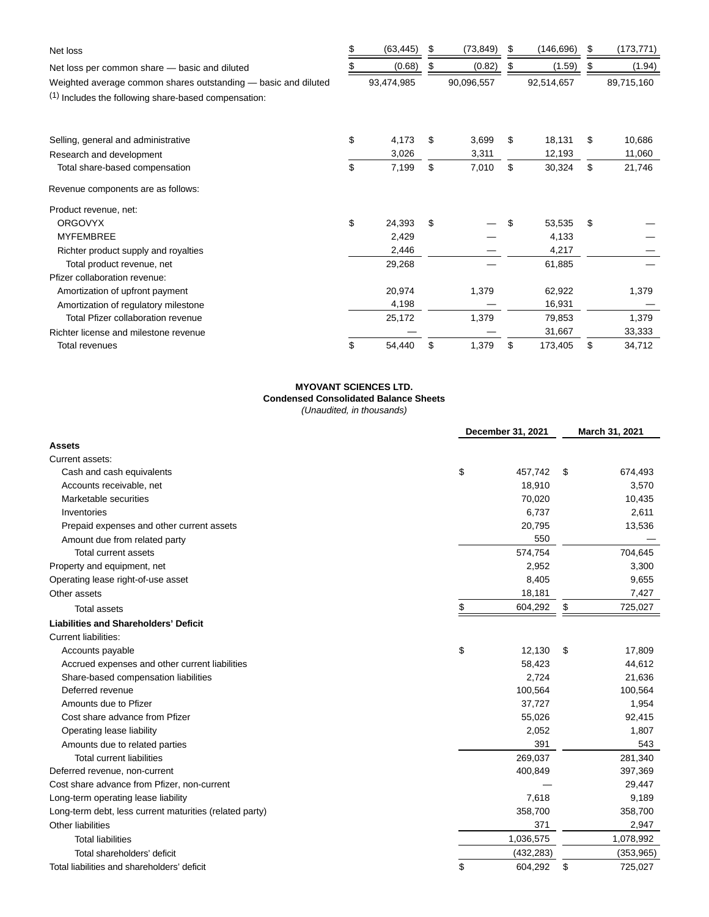| Net loss                                                        | (63, 445)    | S  | (73, 849)  | \$<br>(146, 696) | \$<br>(173, 771) |
|-----------------------------------------------------------------|--------------|----|------------|------------------|------------------|
| Net loss per common share - basic and diluted                   | (0.68)       |    | (0.82)     | (1.59)           | (1.94)           |
| Weighted average common shares outstanding - basic and diluted  | 93,474,985   |    | 90,096,557 | 92,514,657       | 89,715,160       |
| <sup>(1)</sup> Includes the following share-based compensation: |              |    |            |                  |                  |
| Selling, general and administrative                             | \$<br>4,173  | \$ | 3,699      | \$<br>18,131     | \$<br>10,686     |
| Research and development                                        | 3,026        |    | 3,311      | 12,193           | 11,060           |
| Total share-based compensation                                  | \$<br>7,199  | \$ | 7,010      | \$<br>30,324     | \$<br>21,746     |
| Revenue components are as follows:                              |              |    |            |                  |                  |
| Product revenue, net:                                           |              |    |            |                  |                  |
| <b>ORGOVYX</b>                                                  | \$<br>24,393 | \$ |            | \$<br>53,535     | \$               |
| <b>MYFEMBREE</b>                                                | 2,429        |    |            | 4,133            |                  |
| Richter product supply and royalties                            | 2,446        |    |            | 4,217            |                  |
| Total product revenue, net                                      | 29,268       |    |            | 61,885           |                  |
| Pfizer collaboration revenue:                                   |              |    |            |                  |                  |
| Amortization of upfront payment                                 | 20,974       |    | 1,379      | 62,922           | 1,379            |
| Amortization of regulatory milestone                            | 4,198        |    |            | 16,931           |                  |
| Total Pfizer collaboration revenue                              | 25,172       |    | 1,379      | 79,853           | 1,379            |
| Richter license and milestone revenue                           |              |    |            | 31,667           | 33,333           |
| Total revenues                                                  | \$<br>54,440 | \$ | 1,379      | \$<br>173,405    | \$<br>34,712     |

### **MYOVANT SCIENCES LTD. Condensed Consolidated Balance Sheets** (Unaudited, in thousands)

|                                                         | December 31, 2021 |            |    | March 31, 2021 |  |  |
|---------------------------------------------------------|-------------------|------------|----|----------------|--|--|
| Assets                                                  |                   |            |    |                |  |  |
| Current assets:                                         |                   |            |    |                |  |  |
| Cash and cash equivalents                               | \$                | 457,742    | \$ | 674,493        |  |  |
| Accounts receivable, net                                |                   | 18,910     |    | 3,570          |  |  |
| Marketable securities                                   |                   | 70,020     |    | 10,435         |  |  |
| Inventories                                             |                   | 6,737      |    | 2,611          |  |  |
| Prepaid expenses and other current assets               |                   | 20,795     |    | 13,536         |  |  |
| Amount due from related party                           |                   | 550        |    |                |  |  |
| Total current assets                                    |                   | 574,754    |    | 704,645        |  |  |
| Property and equipment, net                             |                   | 2,952      |    | 3,300          |  |  |
| Operating lease right-of-use asset                      |                   | 8,405      |    | 9,655          |  |  |
| Other assets                                            |                   | 18,181     |    | 7,427          |  |  |
| <b>Total assets</b>                                     | \$                | 604,292    | \$ | 725,027        |  |  |
| <b>Liabilities and Shareholders' Deficit</b>            |                   |            |    |                |  |  |
| <b>Current liabilities:</b>                             |                   |            |    |                |  |  |
| Accounts payable                                        | \$                | 12,130     | \$ | 17,809         |  |  |
| Accrued expenses and other current liabilities          |                   | 58,423     |    | 44,612         |  |  |
| Share-based compensation liabilities                    |                   | 2,724      |    | 21,636         |  |  |
| Deferred revenue                                        |                   | 100,564    |    | 100,564        |  |  |
| Amounts due to Pfizer                                   |                   | 37,727     |    | 1,954          |  |  |
| Cost share advance from Pfizer                          |                   | 55,026     |    | 92,415         |  |  |
| Operating lease liability                               |                   | 2,052      |    | 1,807          |  |  |
| Amounts due to related parties                          |                   | 391        |    | 543            |  |  |
| <b>Total current liabilities</b>                        |                   | 269,037    |    | 281,340        |  |  |
| Deferred revenue, non-current                           |                   | 400,849    |    | 397,369        |  |  |
| Cost share advance from Pfizer, non-current             |                   |            |    | 29,447         |  |  |
| Long-term operating lease liability                     |                   | 7,618      |    | 9,189          |  |  |
| Long-term debt, less current maturities (related party) |                   | 358,700    |    | 358,700        |  |  |
| Other liabilities                                       |                   | 371        |    | 2,947          |  |  |
| <b>Total liabilities</b>                                |                   | 1,036,575  |    | 1,078,992      |  |  |
| Total shareholders' deficit                             |                   | (432, 283) |    | (353, 965)     |  |  |
| Total liabilities and shareholders' deficit             | \$                | 604,292    | \$ | 725,027        |  |  |